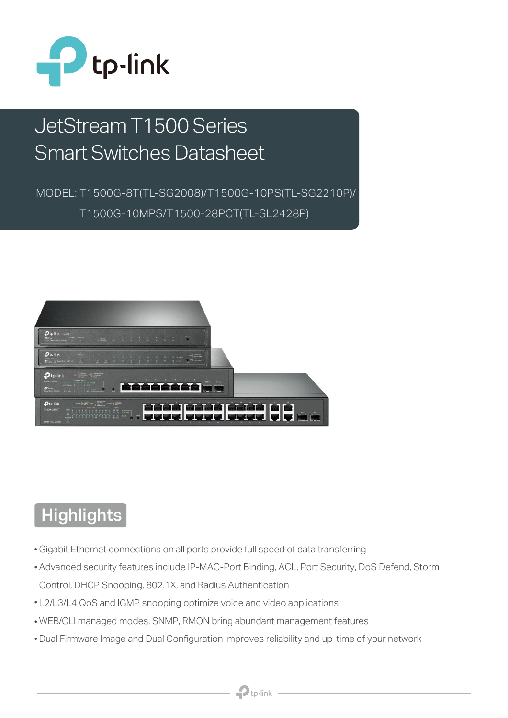

# JetStream T1500 Series Smart Switches Datasheet

MODEL: T1500G-8T(TL-SG2008)/T1500G-10PS(TL-SG2210P)/ T1500G-10MPS/T1500-28PCT(TL-SL2428P)



# **Highlights**

- Gigabit Ethernet connections on all ports provide full speed of data transferring
- Advanced security features include IP-MAC-Port Binding, ACL, Port Security, DoS Defend, Storm Control, DHCP Snooping, 802.1X, and Radius Authentication
- L2/L3/L4 QoS and IGMP snooping optimize voice and video applications
- WEB/CLI managed modes, SNMP, RMON bring abundant management features
- Dual Firmware Image and Dual Configuration improves reliability and up-time of your network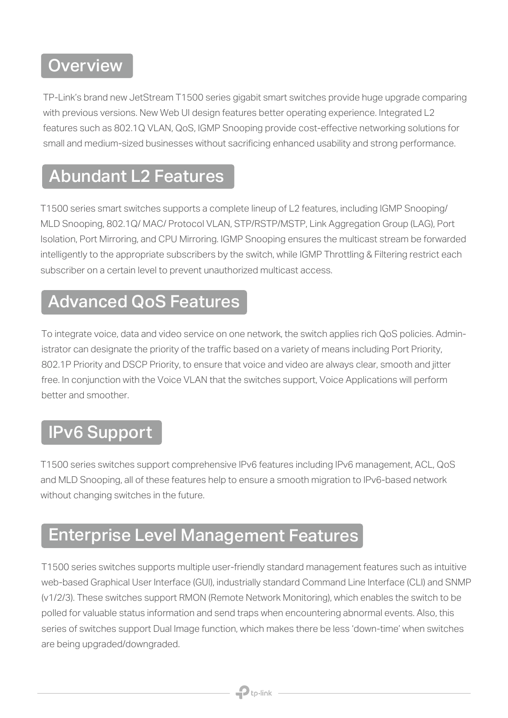## **Overview**

TP-Link's brand new JetStream T1500 series gigabit smart switches provide huge upgrade comparing with previous versions. New Web UI design features better operating experience. Integrated L2 features such as 802.1Q VLAN, QoS, IGMP Snooping provide cost-effective networking solutions for small and medium-sized businesses without sacrificing enhanced usability and strong performance.

### Abundant L2 Features

T1500 series smart switches supports a complete lineup of L2 features, including IGMP Snooping/ MLD Snooping, 802.1Q/ MAC/ Protocol VLAN, STP/RSTP/MSTP, Link Aggregation Group (LAG), Port Isolation, Port Mirroring, and CPU Mirroring. IGMP Snooping ensures the multicast stream be forwarded intelligently to the appropriate subscribers by the switch, while IGMP Throttling & Filtering restrict each subscriber on a certain level to prevent unauthorized multicast access.

#### Advanced QoS Features

To integrate voice, data and video service on one network, the switch applies rich QoS policies. Administrator can designate the priority of the traffic based on a variety of means including Port Priority, 802.1P Priority and DSCP Priority, to ensure that voice and video are always clear, smooth and jitter free. In conjunction with the Voice VLAN that the switches support, Voice Applications will perform better and smoother.

### IPv6 Support

T1500 series switches support comprehensive IPv6 features including IPv6 management, ACL, QoS and MLD Snooping, all of these features help to ensure a smooth migration to IPv6-based network without changing switches in the future.

## Enterprise Level Management Features

T1500 series switches supports multiple user-friendly standard management features such as intuitive web-based Graphical User Interface (GUI), industrially standard Command Line Interface (CLI) and SNMP (v1/2/3). These switches support RMON (Remote Network Monitoring), which enables the switch to be polled for valuable status information and send traps when encountering abnormal events. Also, this series of switches support Dual Image function, which makes there be less 'down-time' when switches are being upgraded/downgraded.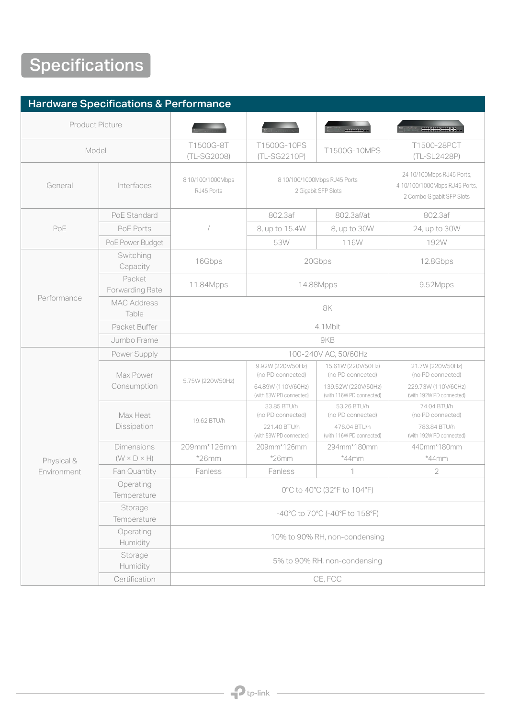# **Specifications**

| <b>Hardware Specifications &amp; Performance</b> |                             |                                                                                                                                                                                  |                                               |                                                 |                                                 |  |  |
|--------------------------------------------------|-----------------------------|----------------------------------------------------------------------------------------------------------------------------------------------------------------------------------|-----------------------------------------------|-------------------------------------------------|-------------------------------------------------|--|--|
| <b>Product Picture</b>                           |                             |                                                                                                                                                                                  |                                               | <b>CONTINUES</b>                                | 000000000000                                    |  |  |
| Model                                            |                             | T1500G-8T<br>(TL-SG2008)                                                                                                                                                         | T1500G-10PS<br>(TL-SG2210P)                   | T1500G-10MPS                                    | T1500-28PCT<br>(TL-SL2428P)                     |  |  |
| General                                          | Interfaces                  | 24 10/100Mbps RJ45 Ports,<br>8 10/100/1000Mbps<br>8 10/100/1000Mbps RJ45 Ports<br>410/100/1000Mbps RJ45 Ports,<br>2 Gigabit SFP Slots<br>RJ45 Ports<br>2 Combo Gigabit SFP Slots |                                               |                                                 |                                                 |  |  |
| PoE                                              | PoE Standard                |                                                                                                                                                                                  | 802.3af                                       | 802.3af/at                                      | 802.3af                                         |  |  |
|                                                  | PoE Ports                   |                                                                                                                                                                                  | 8, up to 15.4W                                | 8, up to 30W                                    | 24, up to 30W                                   |  |  |
|                                                  | PoE Power Budget            |                                                                                                                                                                                  | 53W                                           | 116W                                            | 192W                                            |  |  |
| Performance                                      | Switching<br>Capacity       | 16Gbps                                                                                                                                                                           | 20Gbps                                        |                                                 | 12.8Gbps                                        |  |  |
|                                                  | Packet<br>Forwarding Rate   | 11.84Mpps                                                                                                                                                                        | 14.88Mpps                                     |                                                 | 9.52Mpps                                        |  |  |
|                                                  | <b>MAC Address</b><br>Table | 8K                                                                                                                                                                               |                                               |                                                 |                                                 |  |  |
|                                                  | Packet Buffer               | 4.1Mbit                                                                                                                                                                          |                                               |                                                 |                                                 |  |  |
|                                                  | Jumbo Frame                 | 9KB                                                                                                                                                                              |                                               |                                                 |                                                 |  |  |
| Physical &                                       | Power Supply                | 100-240V AC, 50/60Hz                                                                                                                                                             |                                               |                                                 |                                                 |  |  |
|                                                  | Max Power<br>Consumption    | 5.75W (220V/50Hz)                                                                                                                                                                | 9.92W (220V/50Hz)<br>(no PD connected)        | 15.61W (220V/50Hz)<br>(no PD connected)         | 21.7W (220V/50Hz)<br>(no PD connected)          |  |  |
|                                                  |                             |                                                                                                                                                                                  | 64.89W (110V/60Hz)<br>(with 53W PD connected) | 139.52W (220V/50Hz)<br>(with 116W PD connected) | 229.73W (110V/60Hz)<br>(with 192W PD connected) |  |  |
|                                                  | Max Heat<br>Dissipation     | 19.62 BTU/h                                                                                                                                                                      | 33.85 BTU/h<br>(no PD connected)              | 53.26 BTU/h<br>(no PD connected)                | 74.04 BTU/h<br>(no PD connected)                |  |  |
|                                                  |                             |                                                                                                                                                                                  | 221.40 BTU/h<br>(with 53W PD connected)       | 476.04 BTU/h<br>(with 116W PD connected)        | 783.84 BTU/h<br>(with 192W PD connected)        |  |  |
|                                                  | <b>Dimensions</b>           | 209mm*126mm                                                                                                                                                                      | 209mm*126mm                                   | 294mm*180mm                                     | 440mm*180mm                                     |  |  |
|                                                  | $(W \times D \times H)$     | $*26mm$                                                                                                                                                                          | $*26mm$                                       | $*44$ mm                                        | $*44$ mm                                        |  |  |
| Environment                                      | Fan Quantity                | Fanless                                                                                                                                                                          | Fanless                                       | 1                                               | $\overline{2}$                                  |  |  |
|                                                  | Operating<br>Temperature    | 0°C to 40°C (32°F to 104°F)                                                                                                                                                      |                                               |                                                 |                                                 |  |  |
|                                                  | Storage<br>Temperature      | -40°C to 70°C (-40°F to 158°F)                                                                                                                                                   |                                               |                                                 |                                                 |  |  |
|                                                  | Operating<br>Humidity       | 10% to 90% RH, non-condensing                                                                                                                                                    |                                               |                                                 |                                                 |  |  |
|                                                  | Storage<br>Humidity         | 5% to 90% RH, non-condensing                                                                                                                                                     |                                               |                                                 |                                                 |  |  |
|                                                  | Certification               | CE, FCC                                                                                                                                                                          |                                               |                                                 |                                                 |  |  |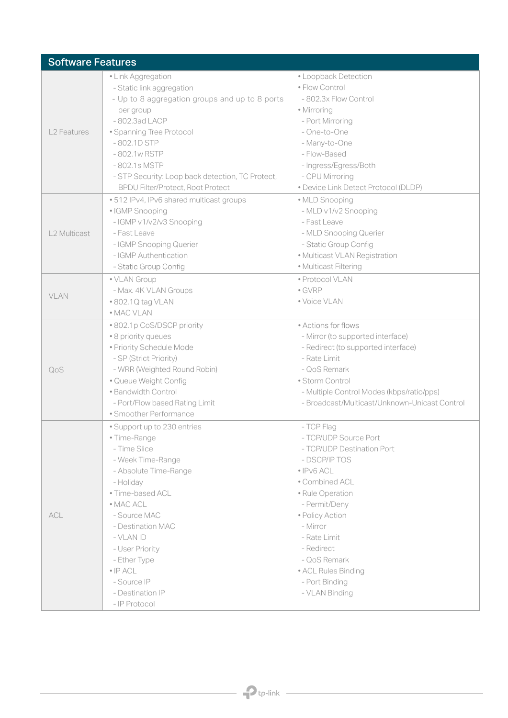| <b>Software Features</b> |                                                                                                                                                                                                                                                                                                                      |                                                                                                                                                                                                                                                                                                         |  |  |  |
|--------------------------|----------------------------------------------------------------------------------------------------------------------------------------------------------------------------------------------------------------------------------------------------------------------------------------------------------------------|---------------------------------------------------------------------------------------------------------------------------------------------------------------------------------------------------------------------------------------------------------------------------------------------------------|--|--|--|
| <b>L2 Features</b>       | · Link Aggregation<br>- Static link aggregation<br>- Up to 8 aggregation groups and up to 8 ports<br>per group<br>- 802.3ad LACP<br>• Spanning Tree Protocol<br>$-802.1D$ STP<br>-802.1w RSTP<br>-802.1s MSTP<br>- STP Security: Loop back detection, TC Protect,<br><b>BPDU Filter/Protect, Root Protect</b>        | • Loopback Detection<br>· Flow Control<br>- 802.3x Flow Control<br>· Mirroring<br>- Port Mirroring<br>- One-to-One<br>- Many-to-One<br>- Flow-Based<br>- Ingress/Egress/Both<br>- CPU Mirroring<br>· Device Link Detect Protocol (DLDP)                                                                 |  |  |  |
| L2 Multicast             | .512 IPv4, IPv6 shared multicast groups<br>· IGMP Snooping<br>- IGMP v1/v2/v3 Snooping<br>- Fast Leave<br>- IGMP Snooping Querier<br>- IGMP Authentication<br>- Static Group Config                                                                                                                                  | · MLD Snooping<br>- MLD v1/v2 Snooping<br>- Fast Leave<br>- MLD Snooping Querier<br>- Static Group Config<br>· Multicast VLAN Registration<br>· Multicast Filtering                                                                                                                                     |  |  |  |
| VLAN                     | · VLAN Group<br>- Max. 4K VLAN Groups<br>• 802.1Q tag VLAN<br>• MAC VLAN                                                                                                                                                                                                                                             | · Protocol VLAN<br>$\bullet$ GVRP<br>· Voice VLAN                                                                                                                                                                                                                                                       |  |  |  |
| QoS                      | • 802.1p CoS/DSCP priority<br>· 8 priority queues<br>· Priority Schedule Mode<br>- SP (Strict Priority)<br>- WRR (Weighted Round Robin)<br>· Queue Weight Config<br>· Bandwidth Control<br>- Port/Flow based Rating Limit<br>· Smoother Performance                                                                  | • Actions for flows<br>- Mirror (to supported interface)<br>- Redirect (to supported interface)<br>- Rate Limit<br>- QoS Remark<br>· Storm Control<br>- Multiple Control Modes (kbps/ratio/pps)<br>- Broadcast/Multicast/Unknown-Unicast Control                                                        |  |  |  |
| ACL                      | • Support up to 230 entries<br>• Time-Range<br>- Time Slice<br>- Week Time-Range<br>- Absolute Time-Range<br>- Holiday<br>· Time-based ACL<br>• MAC ACL<br>- Source MAC<br>- Destination MAC<br>- VLAN ID<br>- User Priority<br>- Ether Type<br>$\bullet$ IP ACL<br>- Source IP<br>- Destination IP<br>- IP Protocol | - TCP Flag<br>- TCP/UDP Source Port<br>- TCP/UDP Destination Port<br>- DSCP/IP TOS<br>$\bullet$ IPv6 ACL<br>• Combined ACL<br>· Rule Operation<br>- Permit/Deny<br>· Policy Action<br>- Mirror<br>- Rate Limit<br>- Redirect<br>- QoS Remark<br>• ACL Rules Binding<br>- Port Binding<br>- VLAN Binding |  |  |  |